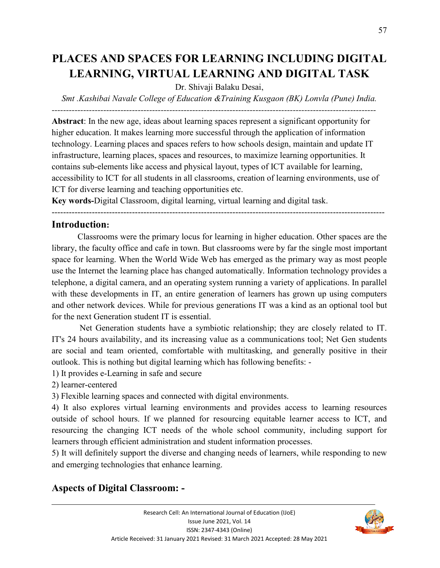# **PLACES AND SPACES FOR LEARNING INCLUDING DIGITAL LEARNING, VIRTUAL LEARNING AND DIGITAL TASK**

#### Dr. Shivaji Balaku Desai,

*Smt .Kashibai Navale College of Education &Training Kusgaon (BK) Lonvla (Pune) India.* 

*-----------------------------------------------------------------------------------------------------------------* 

**Abstract**: In the new age, ideas about learning spaces represent a significant opportunity for higher education. It makes learning more successful through the application of information technology. Learning places and spaces refers to how schools design, maintain and update IT infrastructure, learning places, spaces and resources, to maximize learning opportunities. It contains sub-elements like access and physical layout, types of ICT available for learning, accessibility to ICT for all students in all classrooms, creation of learning environments, use of ICT for diverse learning and teaching opportunities etc.

**Key words-**Digital Classroom, digital learning, virtual learning and digital task.

--------------------------------------------------------------------------------------------------------------------

#### **Introduction:**

Classrooms were the primary locus for learning in higher education. Other spaces are the library, the faculty office and cafe in town. But classrooms were by far the single most important space for learning. When the World Wide Web has emerged as the primary way as most people use the Internet the learning place has changed automatically. Information technology provides a telephone, a digital camera, and an operating system running a variety of applications. In parallel with these developments in IT, an entire generation of learners has grown up using computers and other network devices. While for previous generations IT was a kind as an optional tool but for the next Generation student IT is essential.

 Net Generation students have a symbiotic relationship; they are closely related to IT. IT's 24 hours availability, and its increasing value as a communications tool; Net Gen students are social and team oriented, comfortable with multitasking, and generally positive in their outlook. This is nothing but digital learning which has following benefits: -

1) It provides e-Learning in safe and secure

2) learner-centered

3) Flexible learning spaces and connected with digital environments.

4) It also explores virtual learning environments and provides access to learning resources outside of school hours. If we planned for resourcing equitable learner access to ICT, and resourcing the changing ICT needs of the whole school community, including support for learners through efficient administration and student information processes.

5) It will definitely support the diverse and changing needs of learners, while responding to new and emerging technologies that enhance learning.

# **Aspects of Digital Classroom: -**

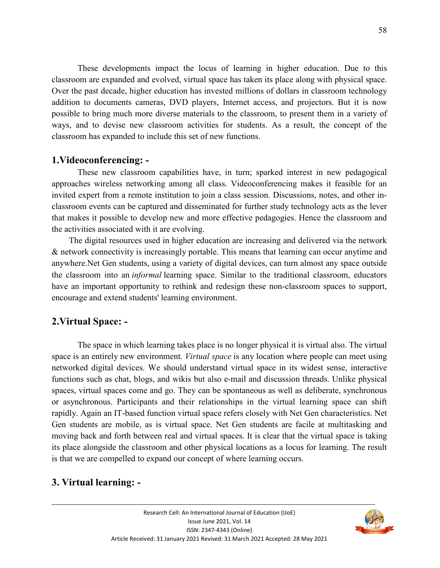These developments impact the locus of learning in higher education. Due to this classroom are expanded and evolved, virtual space has taken its place along with physical space. Over the past decade, higher education has invested millions of dollars in classroom technology addition to documents cameras, DVD players, Internet access, and projectors. But it is now possible to bring much more diverse materials to the classroom, to present them in a variety of ways, and to devise new classroom activities for students. As a result, the concept of the classroom has expanded to include this set of new functions.

#### **1.Videoconferencing: -**

 These new classroom capabilities have, in turn; sparked interest in new pedagogical approaches wireless networking among all class. Videoconferencing makes it feasible for an invited expert from a remote institution to join a class session. Discussions, notes, and other inclassroom events can be captured and disseminated for further study technology acts as the lever that makes it possible to develop new and more effective pedagogies. Hence the classroom and the activities associated with it are evolving.

 The digital resources used in higher education are increasing and delivered via the network & network connectivity is increasingly portable. This means that learning can occur anytime and anywhere.Net Gen students, using a variety of digital devices, can turn almost any space outside the classroom into an *informal* learning space. Similar to the traditional classroom, educators have an important opportunity to rethink and redesign these non-classroom spaces to support, encourage and extend students' learning environment.

#### **2.Virtual Space: -**

 The space in which learning takes place is no longer physical it is virtual also. The virtual space is an entirely new environment*. Virtual space* is any location where people can meet using networked digital devices. We should understand virtual space in its widest sense, interactive functions such as chat, blogs, and wikis but also e-mail and discussion threads. Unlike physical spaces, virtual spaces come and go. They can be spontaneous as well as deliberate, synchronous or asynchronous. Participants and their relationships in the virtual learning space can shift rapidly. Again an IT-based function virtual space refers closely with Net Gen characteristics. Net Gen students are mobile, as is virtual space. Net Gen students are facile at multitasking and moving back and forth between real and virtual spaces. It is clear that the virtual space is taking its place alongside the classroom and other physical locations as a locus for learning. The result is that we are compelled to expand our concept of where learning occurs.

#### **3. Virtual learning: -**

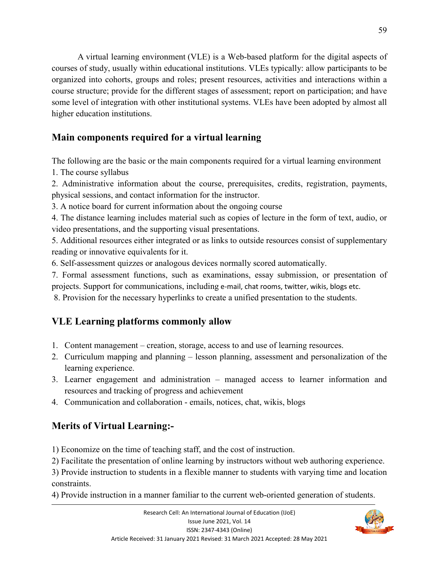A virtual learning environment (VLE) is a Web-based platform for the digital aspects of courses of study, usually within educational institutions. VLEs typically: allow participants to be organized into cohorts, groups and roles; present resources, activities and interactions within a course structure; provide for the different stages of assessment; report on participation; and have some level of integration with other institutional systems. VLEs have been adopted by almost all higher education institutions.

### **Main components required for a virtual learning**

The following are the basic or the main components required for a virtual learning environment

1. The course syllabus

2. Administrative information about the course, prerequisites, credits, registration, payments, physical sessions, and contact information for the instructor.

3. A notice board for current information about the ongoing course

4. The distance learning includes material such as copies of lecture in the form of text, audio, or video presentations, and the supporting visual presentations.

5. Additional resources either integrated or as links to outside resources consist of supplementary reading or innovative equivalents for it.

6. Self-assessment quizzes or analogous devices normally scored automatically.

7. Formal assessment functions, such as examinations, essay submission, or presentation of projects. Support for communications, including e-mail, chat rooms, twitter, wikis, blogs etc.

8. Provision for the necessary hyperlinks to create a unified presentation to the students.

## **VLE Learning platforms commonly allow**

- 1. Content management creation, storage, access to and use of learning resources.
- 2. Curriculum mapping and planning lesson planning, assessment and personalization of the learning experience.
- 3. Learner engagement and administration managed access to learner information and resources and tracking of progress and achievement
- 4. Communication and collaboration emails, notices, chat, wikis, blogs

## **Merits of Virtual Learning:-**

1) Economize on the time of teaching staff, and the cost of instruction.

2) Facilitate the presentation of online learning by instructors without web authoring experience.

3) Provide instruction to students in a flexible manner to students with varying time and location constraints.

4) Provide instruction in a manner familiar to the current web-oriented generation of students.

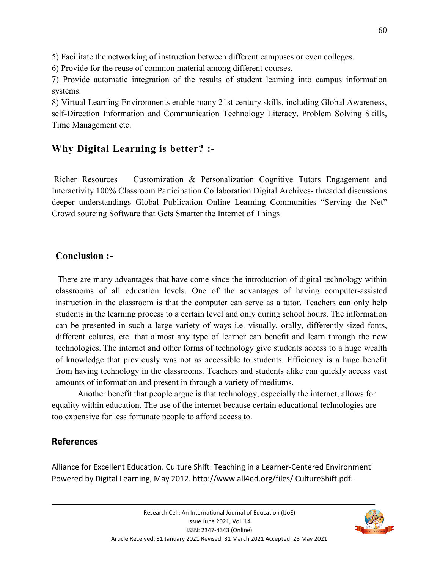5) Facilitate the networking of instruction between different campuses or even colleges.

6) Provide for the reuse of common material among different courses.

7) Provide automatic integration of the results of student learning into campus information systems.

8) Virtual Learning Environments enable many 21st century skills, including Global Awareness, self-Direction Information and Communication Technology Literacy, Problem Solving Skills, Time Management etc.

# **Why Digital Learning is better? :-**

 Richer Resources Customization & Personalization Cognitive Tutors Engagement and Interactivity 100% Classroom Participation Collaboration Digital Archives- threaded discussions deeper understandings Global Publication Online Learning Communities "Serving the Net" Crowd sourcing Software that Gets Smarter the Internet of Things

### **Conclusion :-**

 There are many advantages that have come since the introduction of digital technology within classrooms of all education levels. One of the advantages of having computer-assisted instruction in the classroom is that the computer can serve as a tutor. Teachers can only help students in the learning process to a certain level and only during school hours. The information can be presented in such a large variety of ways i.e. visually, orally, differently sized fonts, different colures, etc. that almost any type of learner can benefit and learn through the new technologies. The internet and other forms of technology give students access to a huge wealth of knowledge that previously was not as accessible to students. Efficiency is a huge benefit from having technology in the classrooms. Teachers and students alike can quickly access vast amounts of information and present in through a variety of mediums.

Another benefit that people argue is that technology, especially the internet, allows for equality within education. The use of the internet because certain educational technologies are too expensive for less fortunate people to afford access to.

#### **References**

Alliance for Excellent Education. Culture Shift: Teaching in a Learner-Centered Environment Powered by Digital Learning, May 2012. http://www.all4ed.org/files/ CultureShift.pdf.